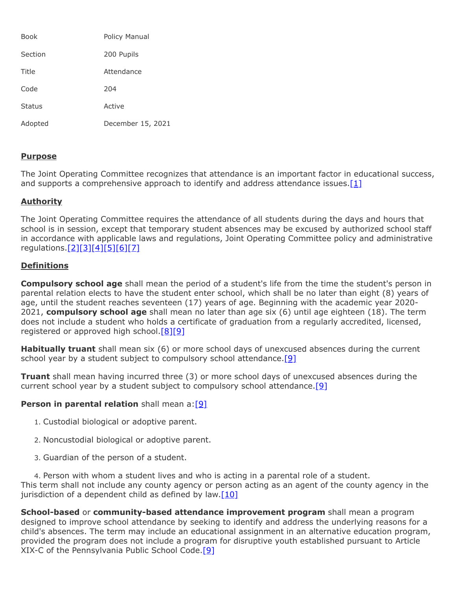| Book          | Policy Manual     |
|---------------|-------------------|
| Section       | 200 Pupils        |
| Title         | Attendance        |
| Code          | 204               |
| <b>Status</b> | Active            |
| Adopted       | December 15, 2021 |

# **Purpose**

The Joint Operating Committee recognizes that attendance is an important factor in educational success, and supports a comprehensive approach to identify and address attendance issues. $[1]$ 

# **Authority**

The Joint Operating Committee requires the attendance of all students during the days and hours that school is in session, except that temporary student absences may be excused by authorized school staff in accordance with applicable laws and regulations, Joint Operating Committee policy and administrative regulations[.\[2\]](http://pacodeandbulletin.gov/Display/pacode?file=/secure/pacode/data/022/chapter11/s11.23.html&d=reduce)[\[3\]](http://pacodeandbulletin.gov/Display/pacode?file=/secure/pacode/data/022/chapter11/s11.25.html&d=reduce)[\[4\]](http://pacodeandbulletin.gov/Display/pacode?file=/secure/pacode/data/022/chapter12/s12.1.html&d=reduce)[\[5\]](http://www.legis.state.pa.us/cfdocs/legis/LI/uconsCheck.cfm?txtType=HTM&yr=1949&sessInd=0&smthLwInd=0&act=14&chpt=13&sctn=27&subsctn=0)[\[6\]](http://www.legis.state.pa.us/cfdocs/legis/LI/uconsCheck.cfm?txtType=HTM&yr=1949&sessInd=0&smthLwInd=0&act=14&chpt=13&sctn=29&subsctn=0)[\[7\]](http://www.legis.state.pa.us/cfdocs/legis/LI/uconsCheck.cfm?txtType=HTM&yr=1949&sessInd=0&smthLwInd=0&act=14&chpt=13&sctn=30&subsctn=0)

# **Definitions**

**Compulsory school age** shall mean the period of a student's life from the time the student's person in parental relation elects to have the student enter school, which shall be no later than eight (8) years of age, until the student reaches seventeen (17) years of age. Beginning with the academic year 2020-2021, **compulsory school age** shall mean no later than age six (6) until age eighteen (18). The term does not include a student who holds a certificate of graduation from a regularly accredited, licensed, registered or approved high school.<sup>[\[8\]](http://pacodeandbulletin.gov/Display/pacode?file=/secure/pacode/data/022/chapter11/s11.13.html&d=reduce)[\[9\]](http://www.legis.state.pa.us/cfdocs/legis/LI/uconsCheck.cfm?txtType=HTM&yr=1949&sessInd=0&smthLwInd=0&act=14&chpt=13&sctn=26&subsctn=0)</sup>

**Habitually truant** shall mean six (6) or more school days of unexcused absences during the current school year by a student subject to compulsory school attendance.<sup>[\[9\]](http://www.legis.state.pa.us/cfdocs/legis/LI/uconsCheck.cfm?txtType=HTM&yr=1949&sessInd=0&smthLwInd=0&act=14&chpt=13&sctn=26&subsctn=0)</sup>

**Truant** shall mean having incurred three (3) or more school days of unexcused absences during the current school year by a student subject to compulsory school attendance.<sup>[\[9\]](http://www.legis.state.pa.us/cfdocs/legis/LI/uconsCheck.cfm?txtType=HTM&yr=1949&sessInd=0&smthLwInd=0&act=14&chpt=13&sctn=26&subsctn=0)</sup>

# **Person in parental relation** shall mean a: [\[9\]](http://www.legis.state.pa.us/cfdocs/legis/LI/uconsCheck.cfm?txtType=HTM&yr=1949&sessInd=0&smthLwInd=0&act=14&chpt=13&sctn=26&subsctn=0)

- 1. Custodial biological or adoptive parent.
- 2. Noncustodial biological or adoptive parent.
- 3. Guardian of the person of a student.

4. Person with whom a student lives and who is acting in a parental role of a student. This term shall not include any county agency or person acting as an agent of the county agency in the jurisdiction of a dependent child as defined by law. $[10]$ 

**School-based** or **community-based attendance improvement program** shall mean a program designed to improve school attendance by seeking to identify and address the underlying reasons for a child's absences. The term may include an educational assignment in an alternative education program, provided the program does not include a program for disruptive youth established pursuant to Article XIX-C of the Pennsylvania Public School Code[.\[9\]](http://www.legis.state.pa.us/cfdocs/legis/LI/uconsCheck.cfm?txtType=HTM&yr=1949&sessInd=0&smthLwInd=0&act=14&chpt=13&sctn=26&subsctn=0)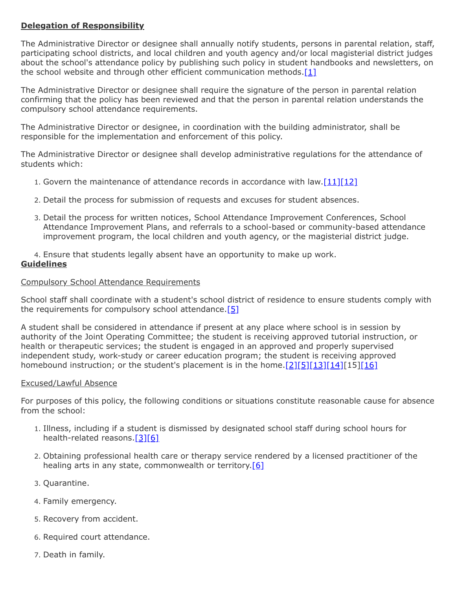# **Delegation of Responsibility**

The Administrative Director or designee shall annually notify students, persons in parental relation, staff, participating school districts, and local children and youth agency and/or local magisterial district judges about the school's attendance policy by publishing such policy in student handbooks and newsletters, on the school website and through other efficient communication methods.[\[1\]](http://pacodeandbulletin.gov/Display/pacode?file=/secure/pacode/data/022/chapter11/s11.41.html&d=reduce)

The Administrative Director or designee shall require the signature of the person in parental relation confirming that the policy has been reviewed and that the person in parental relation understands the compulsory school attendance requirements.

The Administrative Director or designee, in coordination with the building administrator, shall be responsible for the implementation and enforcement of this policy.

The Administrative Director or designee shall develop administrative regulations for the attendance of students which:

- 1. Govern the maintenance of attendance records in accordance with law. $[11][12]$  $[11][12]$
- 2. Detail the process for submission of requests and excuses for student absences.
- 3. Detail the process for written notices, School Attendance Improvement Conferences, School Attendance Improvement Plans, and referrals to a school-based or community-based attendance improvement program, the local children and youth agency, or the magisterial district judge.

4. Ensure that students legally absent have an opportunity to make up work.

# **Guidelines**

#### Compulsory School Attendance Requirements

School staff shall coordinate with a student's school district of residence to ensure students comply with the requirements for compulsory school attendance.  $[5]$ 

A student shall be considered in attendance if present at any place where school is in session by authority of the Joint Operating Committee; the student is receiving approved tutorial instruction, or health or therapeutic services; the student is engaged in an approved and properly supervised independent study, work-study or career education program; the student is receiving approved homebound instruction; or the student's placement is in the home. $[2][5][13][14][15][16]$  $[2][5][13][14][15][16]$  $[2][5][13][14][15][16]$  $[2][5][13][14][15][16]$  $[2][5][13][14][15][16]$  $[2][5][13][14][15][16]$ 

#### Excused/Lawful Absence

For purposes of this policy, the following conditions or situations constitute reasonable cause for absence from the school:

- 1. Illness, including if a student is dismissed by designated school staff during school hours for health-related reasons.[\[3\]](http://pacodeandbulletin.gov/Display/pacode?file=/secure/pacode/data/022/chapter11/s11.25.html&d=reduce)[\[6\]](http://www.legis.state.pa.us/cfdocs/legis/LI/uconsCheck.cfm?txtType=HTM&yr=1949&sessInd=0&smthLwInd=0&act=14&chpt=13&sctn=29&subsctn=0)
- 2. Obtaining professional health care or therapy service rendered by a licensed practitioner of the healing arts in any state, commonwealth or territory.<sup>[\[6\]](http://www.legis.state.pa.us/cfdocs/legis/LI/uconsCheck.cfm?txtType=HTM&yr=1949&sessInd=0&smthLwInd=0&act=14&chpt=13&sctn=29&subsctn=0)</sup>
- 3. Quarantine.
- 4. Family emergency.
- 5. Recovery from accident.
- 6. Required court attendance.
- 7. Death in family.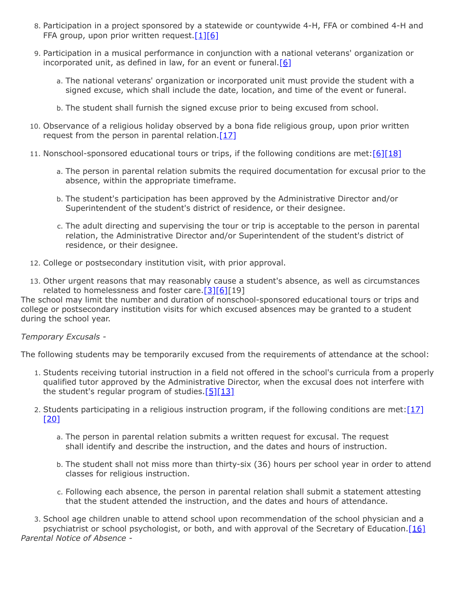- 8. Participation in a project sponsored by a statewide or countywide 4-H, FFA or combined 4-H and FFA group, upon prior written request.<sup>[1][\[6\]](http://www.legis.state.pa.us/cfdocs/legis/LI/uconsCheck.cfm?txtType=HTM&yr=1949&sessInd=0&smthLwInd=0&act=14&chpt=13&sctn=29&subsctn=0)</sup>
- 9. Participation in a musical performance in conjunction with a national veterans' organization or incorporated unit, as defined in law, for an event or funeral.[\[6\]](http://www.legis.state.pa.us/cfdocs/legis/LI/uconsCheck.cfm?txtType=HTM&yr=1949&sessInd=0&smthLwInd=0&act=14&chpt=13&sctn=29&subsctn=0)
	- a. The national veterans' organization or incorporated unit must provide the student with a signed excuse, which shall include the date, location, and time of the event or funeral.
	- b. The student shall furnish the signed excuse prior to being excused from school.
- 10. Observance of a religious holiday observed by a bona fide religious group, upon prior written request from the person in parental relation. $[17]$
- 11. Nonschool-sponsored educational tours or trips, if the following conditions are met:  $[6][18]$  $[6][18]$ 
	- a. The person in parental relation submits the required documentation for excusal prior to the absence, within the appropriate timeframe.
	- b. The student's participation has been approved by the Administrative Director and/or Superintendent of the student's district of residence, or their designee.
	- c. The adult directing and supervising the tour or trip is acceptable to the person in parental relation, the Administrative Director and/or Superintendent of the student's district of residence, or their designee.
- 12. College or postsecondary institution visit, with prior approval.
- 13. Other urgent reasons that may reasonably cause a student's absence, as well as circumstances related to homelessness and foster care.<sup>[3][\[6\]](http://www.legis.state.pa.us/cfdocs/legis/LI/uconsCheck.cfm?txtType=HTM&yr=1949&sessInd=0&smthLwInd=0&act=14&chpt=13&sctn=29&subsctn=0)[19]</sup>

The school may limit the number and duration of nonschool-sponsored educational tours or trips and college or postsecondary institution visits for which excused absences may be granted to a student during the school year.

# *Temporary Excusals -*

The following students may be temporarily excused from the requirements of attendance at the school:

- 1. Students receiving tutorial instruction in a field not offered in the school's curricula from a properly qualified tutor approved by the Administrative Director, when the excusal does not interfere with the student's regular program of studies.  $[5][13]$  $[5][13]$
- 2. Students participating in a religious instruction program, if the following conditions are met: $[17]$  $[20]$ 
	- a. The person in parental relation submits a written request for excusal. The request shall identify and describe the instruction, and the dates and hours of instruction.
	- b. The student shall not miss more than thirty-six (36) hours per school year in order to attend classes for religious instruction.
	- c. Following each absence, the person in parental relation shall submit a statement attesting that the student attended the instruction, and the dates and hours of attendance.

3. School age children unable to attend school upon recommendation of the school physician and a psychiatrist or school psychologist, or both, and with approval of the Secretary of Education.[\[16\]](http://pacodeandbulletin.gov/Display/pacode?file=/secure/pacode/data/022/chapter11/s11.34.html&d=reduce) *Parental Notice of Absence -*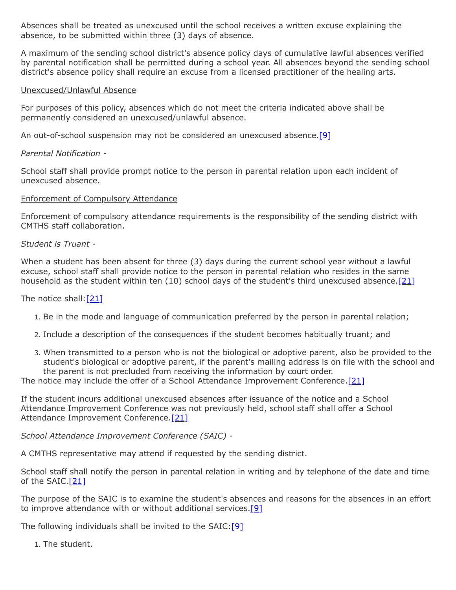Absences shall be treated as unexcused until the school receives a written excuse explaining the absence, to be submitted within three (3) days of absence.

A maximum of the sending school district's absence policy days of cumulative lawful absences verified by parental notification shall be permitted during a school year. All absences beyond the sending school district's absence policy shall require an excuse from a licensed practitioner of the healing arts.

#### Unexcused/Unlawful Absence

For purposes of this policy, absences which do not meet the criteria indicated above shall be permanently considered an unexcused/unlawful absence.

An out-of-school suspension may not be considered an unexcused absence.<sup>[\[9\]](http://www.legis.state.pa.us/cfdocs/legis/LI/uconsCheck.cfm?txtType=HTM&yr=1949&sessInd=0&smthLwInd=0&act=14&chpt=13&sctn=26&subsctn=0)</sup>

# *Parental Notification -*

School staff shall provide prompt notice to the person in parental relation upon each incident of unexcused absence.

#### Enforcement of Compulsory Attendance

Enforcement of compulsory attendance requirements is the responsibility of the sending district with CMTHS staff collaboration.

#### *Student is Truant -*

When a student has been absent for three (3) days during the current school year without a lawful excuse, school staff shall provide notice to the person in parental relation who resides in the same household as the student within ten (10) school days of the student's third unexcused absence. [\[21\]](http://www.legis.state.pa.us/cfdocs/legis/LI/uconsCheck.cfm?txtType=HTM&yr=1949&sessInd=0&smthLwInd=0&act=14&chpt=13&sctn=33&subsctn=0)

The notice shall: $[21]$ 

- 1. Be in the mode and language of communication preferred by the person in parental relation;
- 2. Include a description of the consequences if the student becomes habitually truant; and
- 3. When transmitted to a person who is not the biological or adoptive parent, also be provided to the student's biological or adoptive parent, if the parent's mailing address is on file with the school and the parent is not precluded from receiving the information by court order.

The notice may include the offer of a School Attendance Improvement Conference.<sup>[21]</sup>

If the student incurs additional unexcused absences after issuance of the notice and a School Attendance Improvement Conference was not previously held, school staff shall offer a School Attendance Improvement Conference.[\[21\]](http://www.legis.state.pa.us/cfdocs/legis/LI/uconsCheck.cfm?txtType=HTM&yr=1949&sessInd=0&smthLwInd=0&act=14&chpt=13&sctn=33&subsctn=0)

*School Attendance Improvement Conference (SAIC) -*

A CMTHS representative may attend if requested by the sending district.

School staff shall notify the person in parental relation in writing and by telephone of the date and time of the SAIC.[\[21\]](http://www.legis.state.pa.us/cfdocs/legis/LI/uconsCheck.cfm?txtType=HTM&yr=1949&sessInd=0&smthLwInd=0&act=14&chpt=13&sctn=33&subsctn=0)

The purpose of the SAIC is to examine the student's absences and reasons for the absences in an effort to improve attendance with or without additional services.[\[9\]](http://www.legis.state.pa.us/cfdocs/legis/LI/uconsCheck.cfm?txtType=HTM&yr=1949&sessInd=0&smthLwInd=0&act=14&chpt=13&sctn=26&subsctn=0)

The following individuals shall be invited to the SAIC:[\[9\]](http://www.legis.state.pa.us/cfdocs/legis/LI/uconsCheck.cfm?txtType=HTM&yr=1949&sessInd=0&smthLwInd=0&act=14&chpt=13&sctn=26&subsctn=0)

1. The student.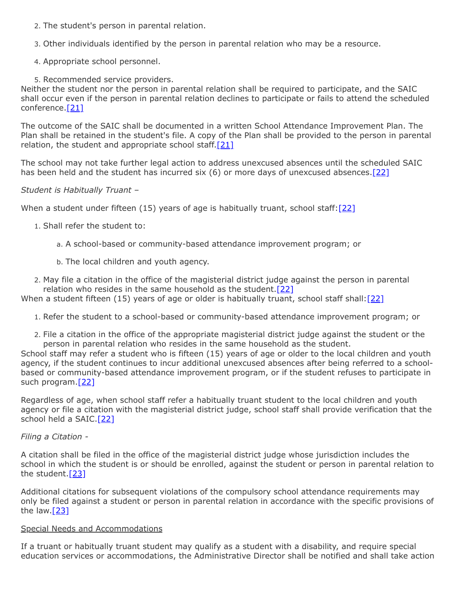- 2. The student's person in parental relation.
- 3. Other individuals identified by the person in parental relation who may be a resource.
- 4. Appropriate school personnel.
- 5. Recommended service providers.

Neither the student nor the person in parental relation shall be required to participate, and the SAIC shall occur even if the person in parental relation declines to participate or fails to attend the scheduled conference.<sup>[\[21\]](http://www.legis.state.pa.us/cfdocs/legis/LI/uconsCheck.cfm?txtType=HTM&yr=1949&sessInd=0&smthLwInd=0&act=14&chpt=13&sctn=33&subsctn=0)</sup>

The outcome of the SAIC shall be documented in a written School Attendance Improvement Plan. The Plan shall be retained in the student's file. A copy of the Plan shall be provided to the person in parental relation, the student and appropriate school staff. $[21]$ 

The school may not take further legal action to address unexcused absences until the scheduled SAIC has been held and the student has incurred six  $(6)$  or more days of unexcused absences[.\[22\]](http://www.legis.state.pa.us/cfdocs/legis/LI/uconsCheck.cfm?txtType=HTM&yr=1949&sessInd=0&smthLwInd=0&act=14&chpt=13&sctn=33&subsctn=1)

*Student is Habitually Truant –*

When a student under fifteen (15) years of age is habitually truant, school staff: $[22]$ 

- 1. Shall refer the student to:
	- a. A school-based or community-based attendance improvement program; or
	- b. The local children and youth agency.

2. May file a citation in the office of the magisterial district judge against the person in parental relation who resides in the same household as the student.  $[22]$ 

When a student fifteen (15) years of age or older is habitually truant, school staff shall: [\[22\]](http://www.legis.state.pa.us/cfdocs/legis/LI/uconsCheck.cfm?txtType=HTM&yr=1949&sessInd=0&smthLwInd=0&act=14&chpt=13&sctn=33&subsctn=1)

- 1. Refer the student to a school-based or community-based attendance improvement program; or
- 2. File a citation in the office of the appropriate magisterial district judge against the student or the person in parental relation who resides in the same household as the student.

School staff may refer a student who is fifteen (15) years of age or older to the local children and youth agency, if the student continues to incur additional unexcused absences after being referred to a schoolbased or community-based attendance improvement program, or if the student refuses to participate in such program.<sup>[\[22\]](http://www.legis.state.pa.us/cfdocs/legis/LI/uconsCheck.cfm?txtType=HTM&yr=1949&sessInd=0&smthLwInd=0&act=14&chpt=13&sctn=33&subsctn=1)</sup>

Regardless of age, when school staff refer a habitually truant student to the local children and youth agency or file a citation with the magisterial district judge, school staff shall provide verification that the school held a SAIC.<sup>[\[22\]](http://www.legis.state.pa.us/cfdocs/legis/LI/uconsCheck.cfm?txtType=HTM&yr=1949&sessInd=0&smthLwInd=0&act=14&chpt=13&sctn=33&subsctn=1)</sup>

# *Filing a Citation -*

A citation shall be filed in the office of the magisterial district judge whose jurisdiction includes the school in which the student is or should be enrolled, against the student or person in parental relation to the student.[\[23\]](http://www.legis.state.pa.us/cfdocs/legis/LI/uconsCheck.cfm?txtType=HTM&yr=1949&sessInd=0&smthLwInd=0&act=14&chpt=13&sctn=33&subsctn=2)

Additional citations for subsequent violations of the compulsory school attendance requirements may only be filed against a student or person in parental relation in accordance with the specific provisions of the law.[\[23\]](http://www.legis.state.pa.us/cfdocs/legis/LI/uconsCheck.cfm?txtType=HTM&yr=1949&sessInd=0&smthLwInd=0&act=14&chpt=13&sctn=33&subsctn=2)

# Special Needs and Accommodations

If a truant or habitually truant student may qualify as a student with a disability, and require special education services or accommodations, the Administrative Director shall be notified and shall take action